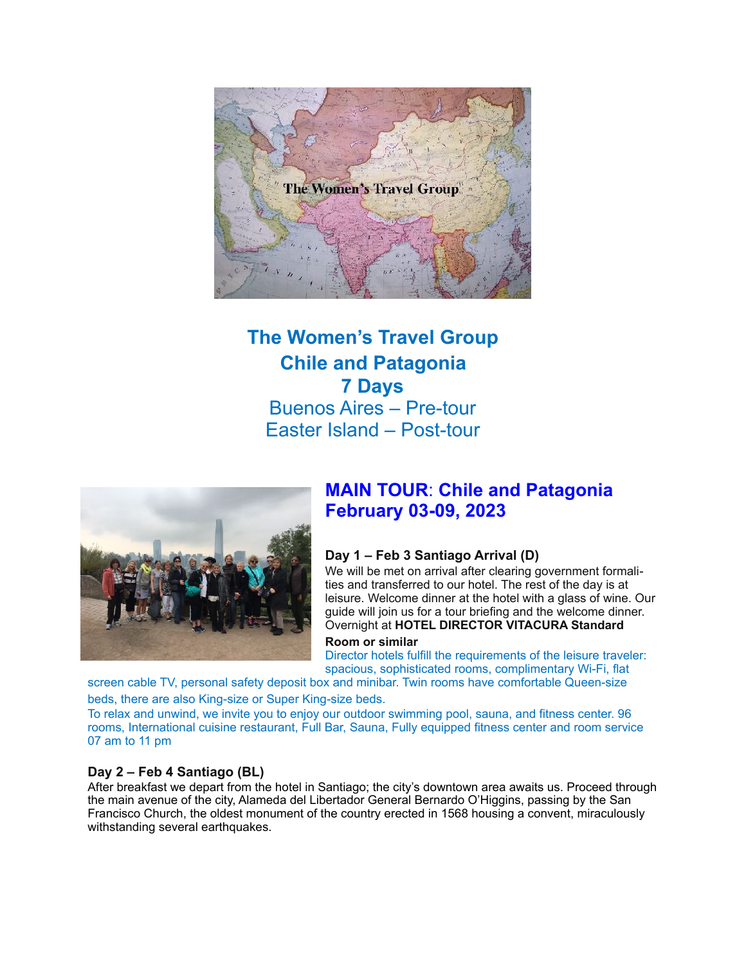

# **The Women's Travel Group Chile and Patagonia 7 Days**  Buenos Aires – Pre-tour Easter Island – Post-tour



# **MAIN TOUR**: **Chile and Patagonia February 03-09, 2023**

## **Day 1 – Feb 3 Santiago Arrival (D)**

We will be met on arrival after clearing government formalities and transferred to our hotel. The rest of the day is at leisure. Welcome dinner at the hotel with a glass of wine. Our guide will join us for a tour briefing and the welcome dinner. Overnight at **HOTEL DIRECTOR VITACURA Standard** 

#### **Room or similar**

Director hotels fulfill the requirements of the leisure traveler: spacious, sophisticated rooms, complimentary Wi-Fi, flat

screen cable TV, personal safety deposit box and minibar. Twin rooms have comfortable Queen-size beds, there are also King-size or Super King-size beds.

To relax and unwind, we invite you to enjoy our outdoor swimming pool, sauna, and fitness center. 96 rooms, International cuisine restaurant, Full Bar, Sauna, Fully equipped fitness center and room service 07 am to 11 pm

## **Day 2 – Feb 4 Santiago (BL)**

After breakfast we depart from the hotel in Santiago; the city's downtown area awaits us. Proceed through the main avenue of the city, Alameda del Libertador General Bernardo O'Higgins, passing by the San Francisco Church, the oldest monument of the country erected in 1568 housing a convent, miraculously withstanding several earthquakes.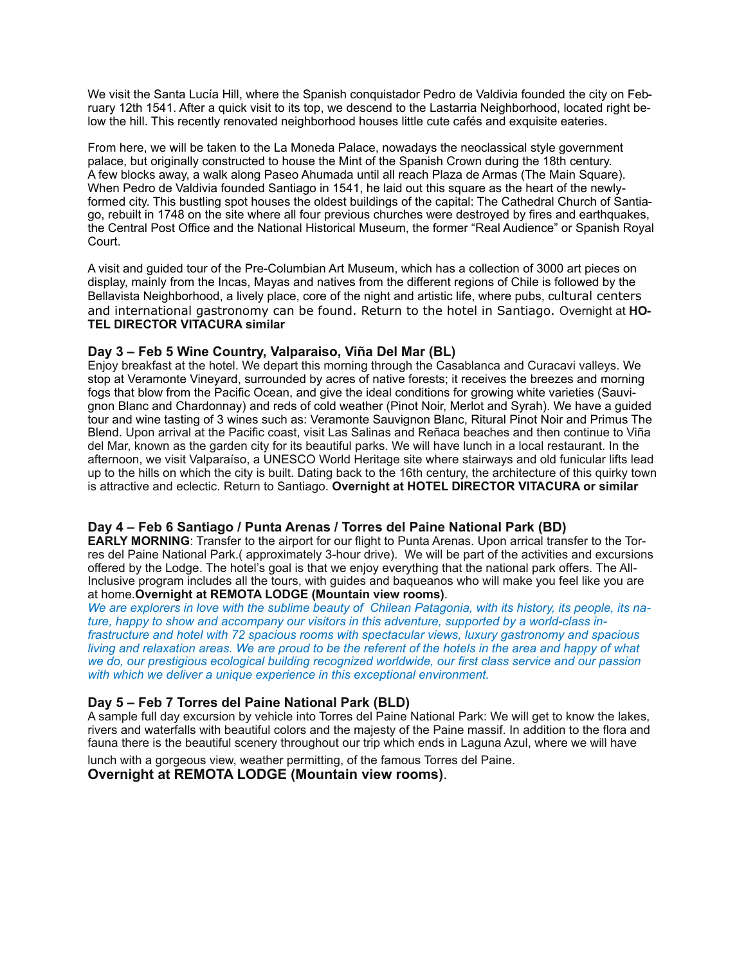We visit the Santa Lucía Hill, where the Spanish conquistador Pedro de Valdivia founded the city on February 12th 1541. After a quick visit to its top, we descend to the Lastarria Neighborhood, located right below the hill. This recently renovated neighborhood houses little cute cafés and exquisite eateries.

From here, we will be taken to the La Moneda Palace, nowadays the neoclassical style government palace, but originally constructed to house the Mint of the Spanish Crown during the 18th century. A few blocks away, a walk along Paseo Ahumada until all reach Plaza de Armas (The Main Square). When Pedro de Valdivia founded Santiago in 1541, he laid out this square as the heart of the newlyformed city. This bustling spot houses the oldest buildings of the capital: The Cathedral Church of Santiago, rebuilt in 1748 on the site where all four previous churches were destroyed by fires and earthquakes, the Central Post Office and the National Historical Museum, the former "Real Audience" or Spanish Royal Court.

A visit and guided tour of the Pre-Columbian Art Museum, which has a collection of 3000 art pieces on display, mainly from the Incas, Mayas and natives from the different regions of Chile is followed by the Bellavista Neighborhood, a lively place, core of the night and artistic life, where pubs, cultural centers and international gastronomy can be found. Return to the hotel in Santiago. Overnight at **HO-TEL DIRECTOR VITACURA similar** 

#### **Day 3 – Feb 5 Wine Country, Valparaiso, Viña Del Mar (BL)**

Enjoy breakfast at the hotel. We depart this morning through the Casablanca and Curacavi valleys. We stop at Veramonte Vineyard, surrounded by acres of native forests; it receives the breezes and morning fogs that blow from the Pacific Ocean, and give the ideal conditions for growing white varieties (Sauvignon Blanc and Chardonnay) and reds of cold weather (Pinot Noir, Merlot and Syrah). We have a guided tour and wine tasting of 3 wines such as: Veramonte Sauvignon Blanc, Ritural Pinot Noir and Primus The Blend. Upon arrival at the Pacific coast, visit Las Salinas and Reñaca beaches and then continue to Viña del Mar, known as the garden city for its beautiful parks. We will have lunch in a local restaurant. In the afternoon, we visit Valparaíso, a UNESCO World Heritage site where stairways and old funicular lifts lead up to the hills on which the city is built. Dating back to the 16th century, the architecture of this quirky town is attractive and eclectic. Return to Santiago. **Overnight at HOTEL DIRECTOR VITACURA or similar** 

#### **Day 4 – Feb 6 Santiago / Punta Arenas / Torres del Paine National Park (BD)**

**EARLY MORNING**: Transfer to the airport for our flight to Punta Arenas. Upon arrical transfer to the Torres del Paine National Park.( approximately 3-hour drive). We will be part of the activities and excursions offered by the Lodge. The hotel's goal is that we enjoy everything that the national park offers. The All-Inclusive program includes all the tours, with guides and baqueanos who will make you feel like you are at home.**Overnight at REMOTA LODGE (Mountain view rooms)**.

*We are explorers in love with the sublime beauty of Chilean Patagonia, with its history, its people, its nature, happy to show and accompany our visitors in this adventure, supported by a world-class infrastructure and hotel with 72 spacious rooms with spectacular views, luxury gastronomy and spacious living and relaxation areas. We are proud to be the referent of the hotels in the area and happy of what we do, our prestigious ecological building recognized worldwide, our first class service and our passion with which we deliver a unique experience in this exceptional environment.* 

#### **Day 5 – Feb 7 Torres del Paine National Park (BLD)**

A sample full day excursion by vehicle into Torres del Paine National Park: We will get to know the lakes, rivers and waterfalls with beautiful colors and the majesty of the Paine massif. In addition to the flora and fauna there is the beautiful scenery throughout our trip which ends in Laguna Azul, where we will have lunch with a gorgeous view, weather permitting, of the famous Torres del Paine.

#### **Overnight at REMOTA LODGE (Mountain view rooms)**.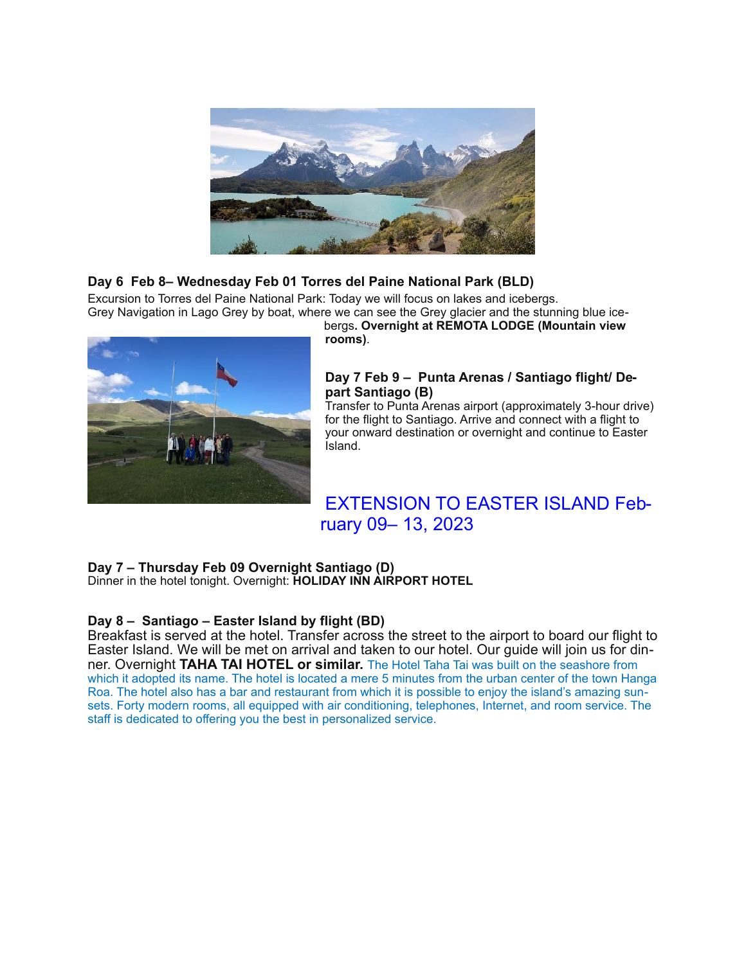

## **Day 6 Feb 8– Wednesday Feb 01 Torres del Paine National Park (BLD)**

Excursion to Torres del Paine National Park: Today we will focus on lakes and icebergs. Grey Navigation in Lago Grey by boat, where we can see the Grey glacier and the stunning blue ice-



bergs**. Overnight at REMOTA LODGE (Mountain view rooms)**.

## **Day 7 Feb 9 – Punta Arenas / Santiago flight/ Depart Santiago (B)**

Transfer to Punta Arenas airport (approximately 3-hour drive) for the flight to Santiago. Arrive and connect with a flight to your onward destination or overnight and continue to Easter Island.

# EXTENSION TO EASTER ISLAND February 09– 13, 2023

## **Day 7 – Thursday Feb 09 Overnight Santiago (D)**

Dinner in the hotel tonight. Overnight: **HOLIDAY INN AIRPORT HOTEL** 

## **Day 8 – Santiago – Easter Island by flight (BD)**

Breakfast is served at the hotel. Transfer across the street to the airport to board our flight to Easter Island. We will be met on arrival and taken to our hotel. Our guide will join us for dinner. Overnight **TAHA TAI HOTEL or similar.** The Hotel Taha Tai was built on the seashore from which it adopted its name. The hotel is located a mere 5 minutes from the urban center of the town Hanga Roa. The hotel also has a bar and restaurant from which it is possible to enjoy the island's amazing sunsets. Forty modern rooms, all equipped with air conditioning, telephones, Internet, and room service. The staff is dedicated to offering you the best in personalized service.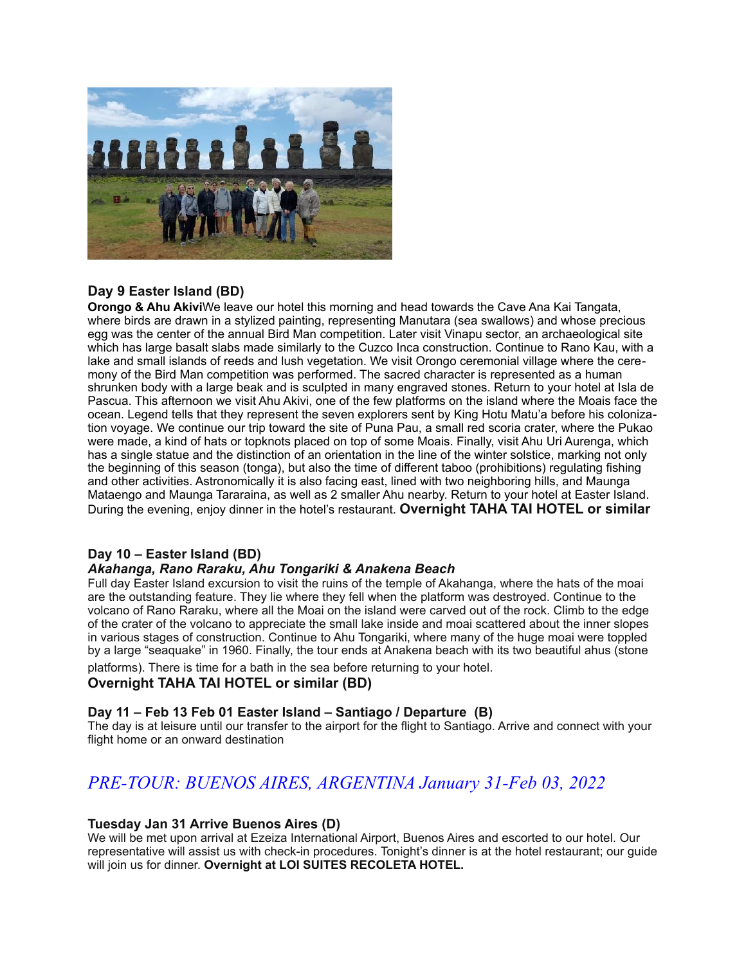

## **Day 9 Easter Island (BD)**

**Orongo & Ahu Akivi**We leave our hotel this morning and head towards the Cave Ana Kai Tangata, where birds are drawn in a stylized painting, representing Manutara (sea swallows) and whose precious egg was the center of the annual Bird Man competition. Later visit Vinapu sector, an archaeological site which has large basalt slabs made similarly to the Cuzco Inca construction. Continue to Rano Kau, with a lake and small islands of reeds and lush vegetation. We visit Orongo ceremonial village where the ceremony of the Bird Man competition was performed. The sacred character is represented as a human shrunken body with a large beak and is sculpted in many engraved stones. Return to your hotel at Isla de Pascua. This afternoon we visit Ahu Akivi, one of the few platforms on the island where the Moais face the ocean. Legend tells that they represent the seven explorers sent by King Hotu Matu'a before his colonization voyage. We continue our trip toward the site of Puna Pau, a small red scoria crater, where the Pukao were made, a kind of hats or topknots placed on top of some Moais. Finally, visit Ahu Uri Aurenga, which has a single statue and the distinction of an orientation in the line of the winter solstice, marking not only the beginning of this season (tonga), but also the time of different taboo (prohibitions) regulating fishing and other activities. Astronomically it is also facing east, lined with two neighboring hills, and Maunga Mataengo and Maunga Tararaina, as well as 2 smaller Ahu nearby. Return to your hotel at Easter Island. During the evening, enjoy dinner in the hotel's restaurant. **Overnight TAHA TAI HOTEL or similar**

## **Day 10 – Easter Island (BD)**

## *Akahanga, Rano Raraku, Ahu Tongariki & Anakena Beach*

Full day Easter Island excursion to visit the ruins of the temple of Akahanga, where the hats of the moai are the outstanding feature. They lie where they fell when the platform was destroyed. Continue to the volcano of Rano Raraku, where all the Moai on the island were carved out of the rock. Climb to the edge of the crater of the volcano to appreciate the small lake inside and moai scattered about the inner slopes in various stages of construction. Continue to Ahu Tongariki, where many of the huge moai were toppled by a large "seaquake" in 1960. Finally, the tour ends at Anakena beach with its two beautiful ahus (stone

platforms). There is time for a bath in the sea before returning to your hotel. **Overnight TAHA TAI HOTEL or similar (BD)** 

## **Day 11 – Feb 13 Feb 01 Easter Island – Santiago / Departure (B)**

The day is at leisure until our transfer to the airport for the flight to Santiago. Arrive and connect with your flight home or an onward destination

# *PRE-TOUR: BUENOS AIRES, ARGENTINA January 31-Feb 03, 2022*

#### **Tuesday Jan 31 Arrive Buenos Aires (D)**

We will be met upon arrival at Ezeiza International Airport, Buenos Aires and escorted to our hotel. Our representative will assist us with check-in procedures. Tonight's dinner is at the hotel restaurant; our guide will join us for dinner. **Overnight at LOI SUITES RECOLETA HOTEL.**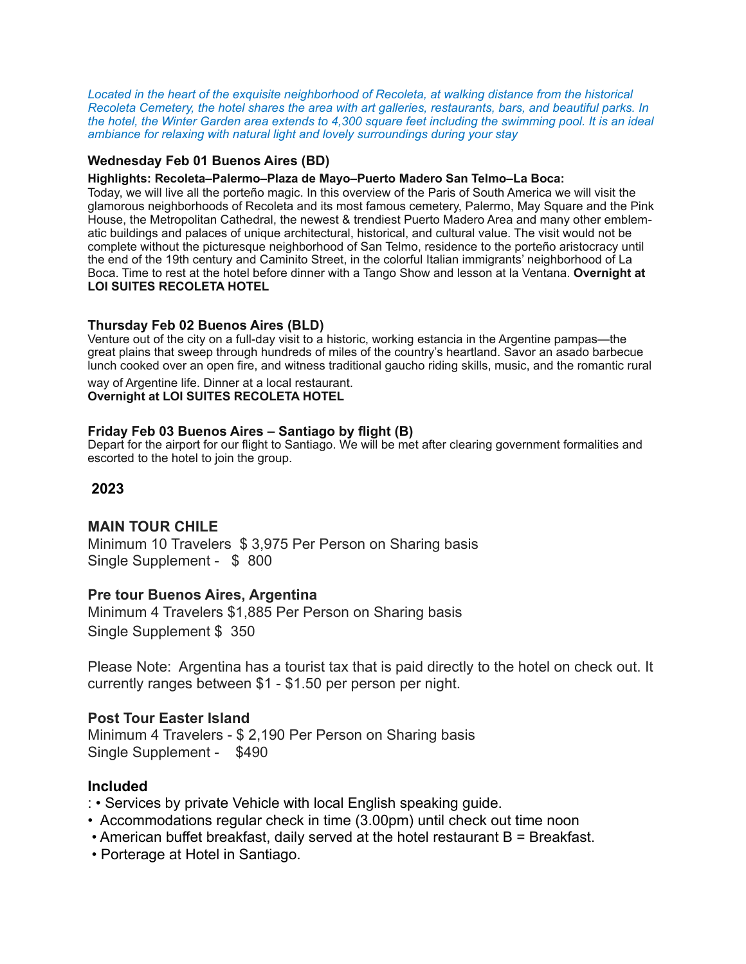*Located in the heart of the exquisite neighborhood of Recoleta, at walking distance from the historical Recoleta Cemetery, the hotel shares the area with art galleries, restaurants, bars, and beautiful parks. In the hotel, the Winter Garden area extends to 4,300 square feet including the swimming pool. It is an ideal ambiance for relaxing with natural light and lovely surroundings during your stay*

## **Wednesday Feb 01 Buenos Aires (BD)**

#### **Highlights: Recoleta–Palermo–Plaza de Mayo–Puerto Madero San Telmo–La Boca:**

Today, we will live all the porteño magic. In this overview of the Paris of South America we will visit the glamorous neighborhoods of Recoleta and its most famous cemetery, Palermo, May Square and the Pink House, the Metropolitan Cathedral, the newest & trendiest Puerto Madero Area and many other emblematic buildings and palaces of unique architectural, historical, and cultural value. The visit would not be complete without the picturesque neighborhood of San Telmo, residence to the porteño aristocracy until the end of the 19th century and Caminito Street, in the colorful Italian immigrants' neighborhood of La Boca. Time to rest at the hotel before dinner with a Tango Show and lesson at la Ventana. **Overnight at LOI SUITES RECOLETA HOTEL** 

#### **Thursday Feb 02 Buenos Aires (BLD)**

Venture out of the city on a full-day visit to a historic, working estancia in the Argentine pampas—the great plains that sweep through hundreds of miles of the country's heartland. Savor an asado barbecue lunch cooked over an open fire, and witness traditional gaucho riding skills, music, and the romantic rural

way of Argentine life. Dinner at a local restaurant. **Overnight at LOI SUITES RECOLETA HOTEL**

#### **Friday Feb 03 Buenos Aires – Santiago by flight (B)**

Depart for the airport for our flight to Santiago. We will be met after clearing government formalities and escorted to the hotel to join the group.

## **2023**

## **MAIN TOUR CHILE**

Minimum 10 Travelers \$ 3,975 Per Person on Sharing basis Single Supplement - \$ 800

#### **Pre tour Buenos Aires, Argentina**

Minimum 4 Travelers \$1,885 Per Person on Sharing basis Single Supplement \$ 350

Please Note: Argentina has a tourist tax that is paid directly to the hotel on check out. It currently ranges between \$1 - \$1.50 per person per night.

#### **Post Tour Easter Island**

Minimum 4 Travelers - \$ 2,190 Per Person on Sharing basis Single Supplement - \$490

#### **Included**

- : Services by private Vehicle with local English speaking guide.
- Accommodations regular check in time (3.00pm) until check out time noon
- American buffet breakfast, daily served at the hotel restaurant B = Breakfast.
- Porterage at Hotel in Santiago.